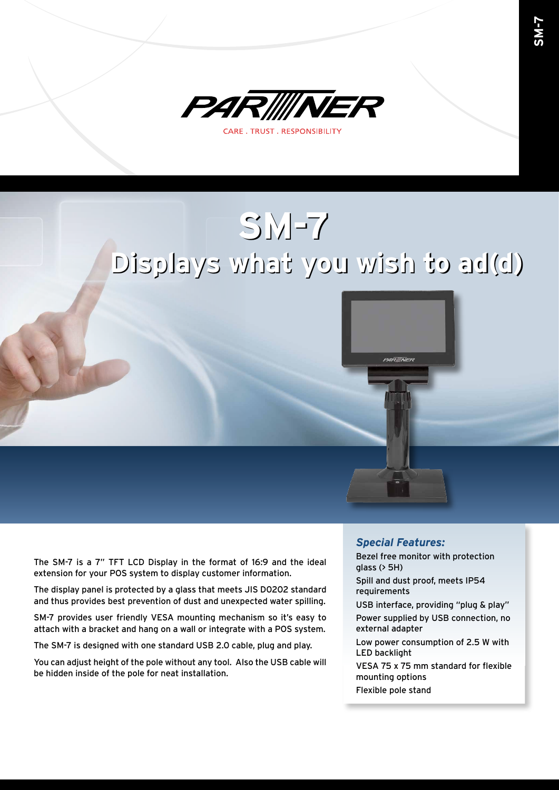

## **SM-7 SM-7 Displays what you wish to ad(d) Displays what you wish to ad(d)**



The display panel is protected by a glass that meets JIS D0202 standard and thus provides best prevention of dust and unexpected water spilling.

SM-7 provides user friendly VESA mounting mechanism so it's easy to attach with a bracket and hang on a wall or integrate with a POS system.

The SM-7 is designed with one standard USB 2.0 cable, plug and play.

You can adjust height of the pole without any tool. Also the USB cable will be hidden inside of the pole for neat installation.

## *Special Features:*

PARINER

Bezel free monitor with protection glass (> 5H)

Spill and dust proof, meets IP54 requirements

USB interface, providing "plug & play"

Power supplied by USB connection, no external adapter

Low power consumption of 2.5 W with LED backlight

VESA 75 x 75 mm standard for flexible mounting options

Flexible pole stand